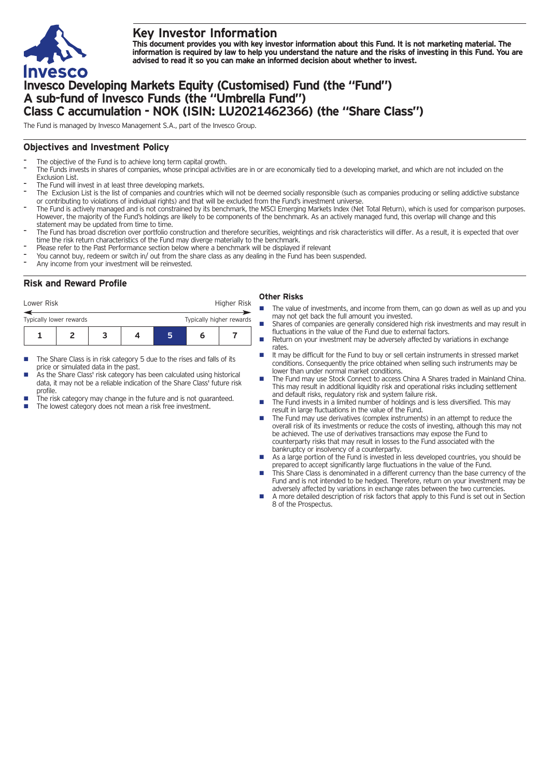

# **Key Investor Information**

This document provides you with key investor information about this Fund. It is not marketing material. The information is required by law to help you understand the nature and the risks of investing in this Fund. You are **advised to read it so you can make an informed decision about whether to invest.**

# **Invesco Developing Markets Equity (Customised) Fund (the "Fund") A sub-fund of Invesco Funds (the "Umbrella Fund") Class C accumulation - NOK (ISIN: LU2021462366) (the "Share Class")**

The Fund is managed by Invesco Management S.A., part of the Invesco Group.

## **Objectives and Investment Policy**

- The objective of the Fund is to achieve long term capital growth.
- The Funds invests in shares of companies, whose principal activities are in or are economically tied to a developing market, and which are not included on the Exclusion List.
- The Fund will invest in at least three developing markets.
- The Exclusion List is the list of companies and countries which will not be deemed socially responsible (such as companies producing or selling addictive substance or contributing to violations of individual rights) and that will be excluded from the Fund's investment universe.
- The Fund is actively managed and is not constrained by its benchmark, the MSCI Emerging Markets Index (Net Total Return), which is used for comparison purposes. However, the majority of the Fund's holdings are likely to be components of the benchmark. As an actively managed fund, this overlap will change and this statement may be updated from time to time.
- The Fund has broad discretion over portfolio construction and therefore securities, weightings and risk characteristics will differ. As a result, it is expected that over time the risk return characteristics of the Fund may diverge materially to the benchmark.
- Please refer to the Past Performance section below where a benchmark will be displayed if relevant
- You cannot buy, redeem or switch in/ out from the share class as any dealing in the Fund has been suspended.
- Any income from your investment will be reinvested.

# **Risk and Reward Profile**

| Lower Risk              |  |                          |  | Higher Risk |  |
|-------------------------|--|--------------------------|--|-------------|--|
| Typically lower rewards |  | Typically higher rewards |  |             |  |
|                         |  |                          |  | n           |  |

- The Share Class is in risk category 5 due to the rises and falls of its price or simulated data in the past.
- As the Share Class' risk category has been calculated using historical data, it may not be a reliable indication of the Share Class' future risk profile.
- The risk category may change in the future and is not guaranteed.
	- The lowest category does not mean a risk free investment.

### **Other Risks**

- The value of investments, and income from them, can go down as well as up and you may not get back the full amount you invested.
- Shares of companies are generally considered high risk investments and may result in fluctuations in the value of the Fund due to external factors.
- Return on your investment may be adversely affected by variations in exchange rates.
- It may be difficult for the Fund to buy or sell certain instruments in stressed market conditions. Consequently the price obtained when selling such instruments may be lower than under normal market conditions.
- n The Fund may use Stock Connect to access China A Shares traded in Mainland China. This may result in additional liquidity risk and operational risks including settlement and default risks, regulatory risk and system failure risk.
- n The Fund invests in a limited number of holdings and is less diversified. This may result in large fluctuations in the value of the Fund.
- The Fund may use derivatives (complex instruments) in an attempt to reduce the overall risk of its investments or reduce the costs of investing, although this may not be achieved. The use of derivatives transactions may expose the Fund to counterparty risks that may result in losses to the Fund associated with the bankruptcy or insolvency of a counterparty.
- As a large portion of the Fund is invested in less developed countries, you should be prepared to accept significantly large fluctuations in the value of the Fund.
- This Share Class is denominated in a different currency than the base currency of the Fund and is not intended to be hedged. Therefore, return on your investment may be adversely affected by variations in exchange rates between the two currencies.
- n A more detailed description of risk factors that apply to this Fund is set out in Section 8 of the Prospectus.